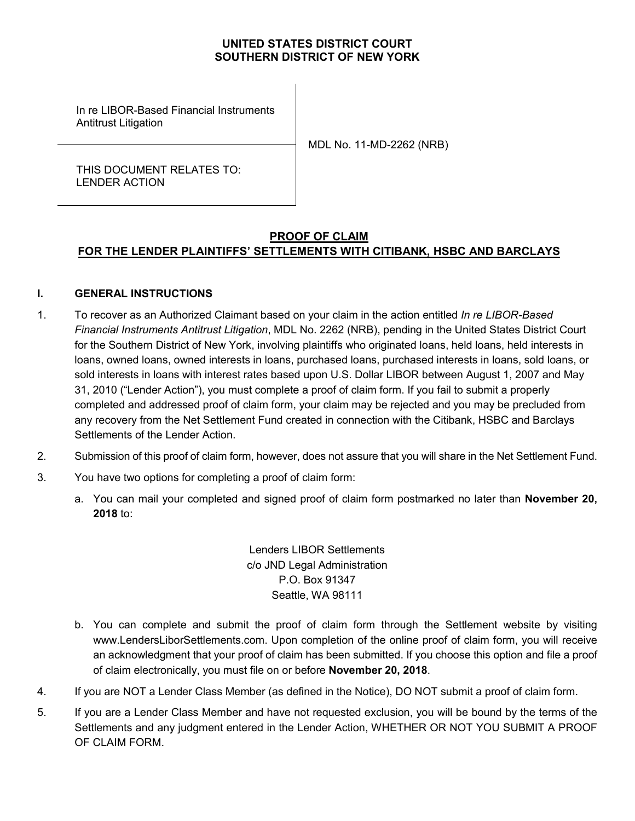## **UNITED STATES DISTRICT COURT SOUTHERN DISTRICT OF NEW YORK**

In re LIBOR-Based Financial Instruments Antitrust Litigation

MDL No. 11-MD-2262 (NRB)

THIS DOCUMENT RELATES TO: LENDER ACTION

# **PROOF OF CLAIM FOR THE LENDER PLAINTIFFS' SETTLEMENTS WITH CITIBANK, HSBC AND BARCLAYS**

### **I. GENERAL INSTRUCTIONS**

- 1. To recover as an Authorized Claimant based on your claim in the action entitled *In re LIBOR-Based Financial Instruments Antitrust Litigation*, MDL No. 2262 (NRB), pending in the United States District Court for the Southern District of New York, involving plaintiffs who originated loans, held loans, held interests in loans, owned loans, owned interests in loans, purchased loans, purchased interests in loans, sold loans, or sold interests in loans with interest rates based upon U.S. Dollar LIBOR between August 1, 2007 and May 31, 2010 ("Lender Action"), you must complete a proof of claim form. If you fail to submit a properly completed and addressed proof of claim form, your claim may be rejected and you may be precluded from any recovery from the Net Settlement Fund created in connection with the Citibank, HSBC and Barclays Settlements of the Lender Action.
- 2. Submission of this proof of claim form, however, does not assure that you will share in the Net Settlement Fund.
- 3. You have two options for completing a proof of claim form:
	- a. You can mail your completed and signed proof of claim form postmarked no later than **November 20, 2018** to:

Lenders LIBOR Settlements c/o JND Legal Administration P.O. Box 91347 Seattle, WA 98111

- b. You can complete and submit the proof of claim form through the Settlement website by visiting www.LendersLiborSettlements.com. Upon completion of the online proof of claim form, you will receive an acknowledgment that your proof of claim has been submitted. If you choose this option and file a proof of claim electronically, you must file on or before **November 20, 2018**.
- 4. If you are NOT a Lender Class Member (as defined in the Notice), DO NOT submit a proof of claim form.
- 5. If you are a Lender Class Member and have not requested exclusion, you will be bound by the terms of the Settlements and any judgment entered in the Lender Action, WHETHER OR NOT YOU SUBMIT A PROOF OF CLAIM FORM.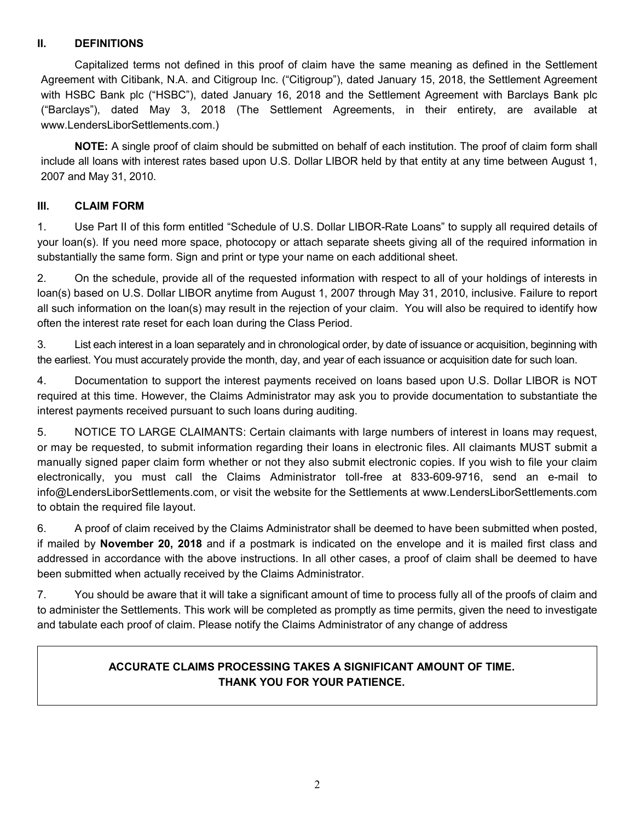## **II. DEFINITIONS**

Capitalized terms not defined in this proof of claim have the same meaning as defined in the Settlement Agreement with Citibank, N.A. and Citigroup Inc. ("Citigroup"), dated January 15, 2018, the Settlement Agreement with HSBC Bank plc ("HSBC"), dated January 16, 2018 and the Settlement Agreement with Barclays Bank plc ("Barclays"), dated May 3, 2018 (The Settlement Agreements, in their entirety, are available at www.LendersLiborSettlements.com.)

**NOTE:** A single proof of claim should be submitted on behalf of each institution. The proof of claim form shall include all loans with interest rates based upon U.S. Dollar LIBOR held by that entity at any time between August 1, 2007 and May 31, 2010.

# **III. CLAIM FORM**

1. Use Part II of this form entitled "Schedule of U.S. Dollar LIBOR-Rate Loans" to supply all required details of your loan(s). If you need more space, photocopy or attach separate sheets giving all of the required information in substantially the same form. Sign and print or type your name on each additional sheet.

2. On the schedule, provide all of the requested information with respect to all of your holdings of interests in loan(s) based on U.S. Dollar LIBOR anytime from August 1, 2007 through May 31, 2010, inclusive. Failure to report all such information on the loan(s) may result in the rejection of your claim. You will also be required to identify how often the interest rate reset for each loan during the Class Period.

3. List each interest in a loan separately and in chronological order, by date of issuance or acquisition, beginning with the earliest. You must accurately provide the month, day, and year of each issuance or acquisition date for such loan.

4. Documentation to support the interest payments received on loans based upon U.S. Dollar LIBOR is NOT required at this time. However, the Claims Administrator may ask you to provide documentation to substantiate the interest payments received pursuant to such loans during auditing.

5. NOTICE TO LARGE CLAIMANTS: Certain claimants with large numbers of interest in loans may request, or may be requested, to submit information regarding their loans in electronic files. All claimants MUST submit a manually signed paper claim form whether or not they also submit electronic copies. If you wish to file your claim electronically, you must call the Claims Administrator toll-free at 833-609-9716, send an e-mail to info@LendersLiborSettlements.com, or visit the website for the Settlements at www.LendersLiborSettlements.com to obtain the required file layout.

6. A proof of claim received by the Claims Administrator shall be deemed to have been submitted when posted, if mailed by **November 20, 2018** and if a postmark is indicated on the envelope and it is mailed first class and addressed in accordance with the above instructions. In all other cases, a proof of claim shall be deemed to have been submitted when actually received by the Claims Administrator.

7. You should be aware that it will take a significant amount of time to process fully all of the proofs of claim and to administer the Settlements. This work will be completed as promptly as time permits, given the need to investigate and tabulate each proof of claim. Please notify the Claims Administrator of any change of address

# **ACCURATE CLAIMS PROCESSING TAKES A SIGNIFICANT AMOUNT OF TIME. THANK YOU FOR YOUR PATIENCE.**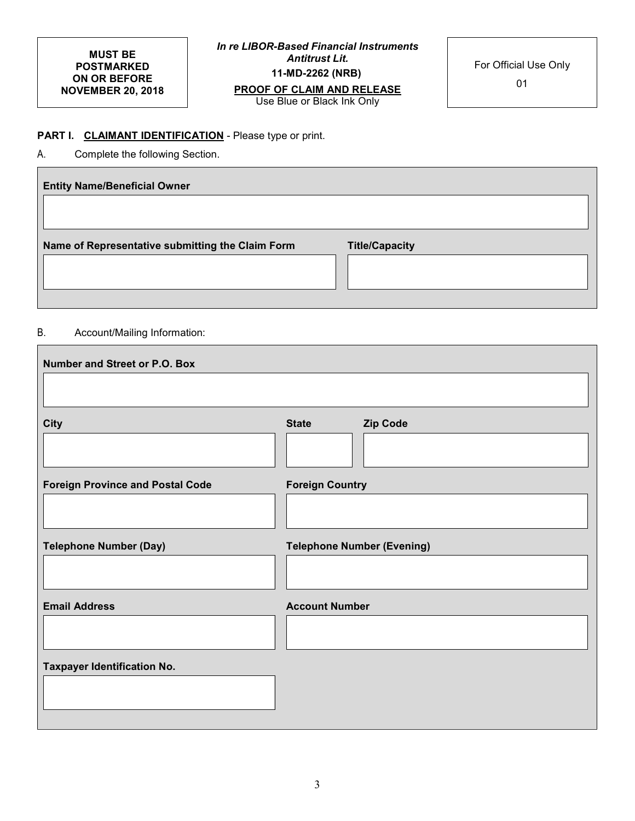#### **MUST BE POSTMARKED ON OR BEFORE NOVEMBER 20, 2018**

*In re LIBOR-Based Financial Instruments Antitrust Lit.*  **11-MD-2262 (NRB) PROOF OF CLAIM AND RELEASE** 

Use Blue or Black Ink Only

01

## **PART I. CLAIMANT IDENTIFICATION** - Please type or print.

A. Complete the following Section.

| <b>Entity Name/Beneficial Owner</b>              |                       |
|--------------------------------------------------|-----------------------|
|                                                  |                       |
| Name of Representative submitting the Claim Form | <b>Title/Capacity</b> |
|                                                  |                       |
|                                                  |                       |

#### B. Account/Mailing Information:

| Number and Street or P.O. Box           |                                   |
|-----------------------------------------|-----------------------------------|
|                                         |                                   |
|                                         |                                   |
| <b>City</b>                             | <b>State</b><br><b>Zip Code</b>   |
|                                         |                                   |
| <b>Foreign Province and Postal Code</b> | <b>Foreign Country</b>            |
|                                         |                                   |
|                                         |                                   |
| <b>Telephone Number (Day)</b>           | <b>Telephone Number (Evening)</b> |
|                                         |                                   |
|                                         |                                   |
| <b>Email Address</b>                    | <b>Account Number</b>             |
|                                         |                                   |
|                                         |                                   |
| <b>Taxpayer Identification No.</b>      |                                   |
|                                         |                                   |
|                                         |                                   |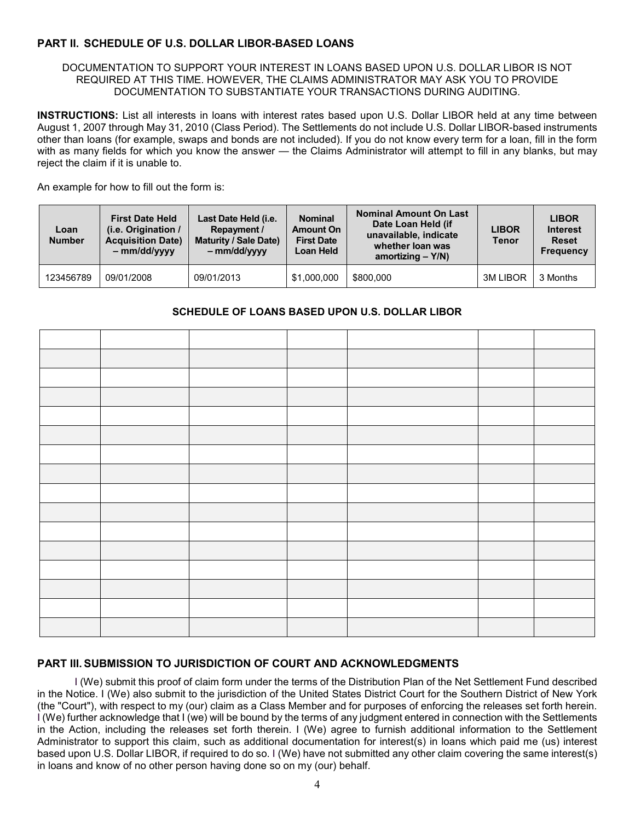### **PART II. SCHEDULE OF U.S. DOLLAR LIBOR-BASED LOANS**

#### DOCUMENTATION TO SUPPORT YOUR INTEREST IN LOANS BASED UPON U.S. DOLLAR LIBOR IS NOT REQUIRED AT THIS TIME. HOWEVER, THE CLAIMS ADMINISTRATOR MAY ASK YOU TO PROVIDE DOCUMENTATION TO SUBSTANTIATE YOUR TRANSACTIONS DURING AUDITING.

**INSTRUCTIONS:** List all interests in loans with interest rates based upon U.S. Dollar LIBOR held at any time between August 1, 2007 through May 31, 2010 (Class Period). The Settlements do not include U.S. Dollar LIBOR-based instruments other than loans (for example, swaps and bonds are not included). If you do not know every term for a loan, fill in the form with as many fields for which you know the answer — the Claims Administrator will attempt to fill in any blanks, but may reject the claim if it is unable to.

An example for how to fill out the form is:

| Loan<br><b>Number</b> | <b>First Date Held</b><br>(i.e. Origination /<br><b>Acquisition Date)</b><br>$-mm/dd/vvvv$ | Last Date Held (i.e.<br><b>Repayment /</b><br><b>Maturity / Sale Date)</b><br>$-mm/dd/vvvv$ | <b>Nominal</b><br><b>Amount On</b><br><b>First Date</b><br>Loan Held | <b>Nominal Amount On Last</b><br>Date Loan Held (if<br>unavailable, indicate<br>whether loan was<br>amortizing $- Y/N$ ) | <b>LIBOR</b><br><b>Tenor</b> | <b>LIBOR</b><br><b>Interest</b><br><b>Reset</b><br><b>Frequency</b> |
|-----------------------|--------------------------------------------------------------------------------------------|---------------------------------------------------------------------------------------------|----------------------------------------------------------------------|--------------------------------------------------------------------------------------------------------------------------|------------------------------|---------------------------------------------------------------------|
| 123456789             | 09/01/2008                                                                                 | 09/01/2013                                                                                  | \$1,000,000                                                          | \$800,000                                                                                                                | <b>3M LIBOR</b>              | 3 Months                                                            |

#### **SCHEDULE OF LOANS BASED UPON U.S. DOLLAR LIBOR**

#### **PART III. SUBMISSION TO JURISDICTION OF COURT AND ACKNOWLEDGMENTS**

I (We) submit this proof of claim form under the terms of the Distribution Plan of the Net Settlement Fund described in the Notice. I (We) also submit to the jurisdiction of the United States District Court for the Southern District of New York (the "Court"), with respect to my (our) claim as a Class Member and for purposes of enforcing the releases set forth herein. I (We) further acknowledge that I (we) will be bound by the terms of any judgment entered in connection with the Settlements in the Action, including the releases set forth therein. I (We) agree to furnish additional information to the Settlement Administrator to support this claim, such as additional documentation for interest(s) in loans which paid me (us) interest based upon U.S. Dollar LIBOR, if required to do so. I (We) have not submitted any other claim covering the same interest(s) in loans and know of no other person having done so on my (our) behalf.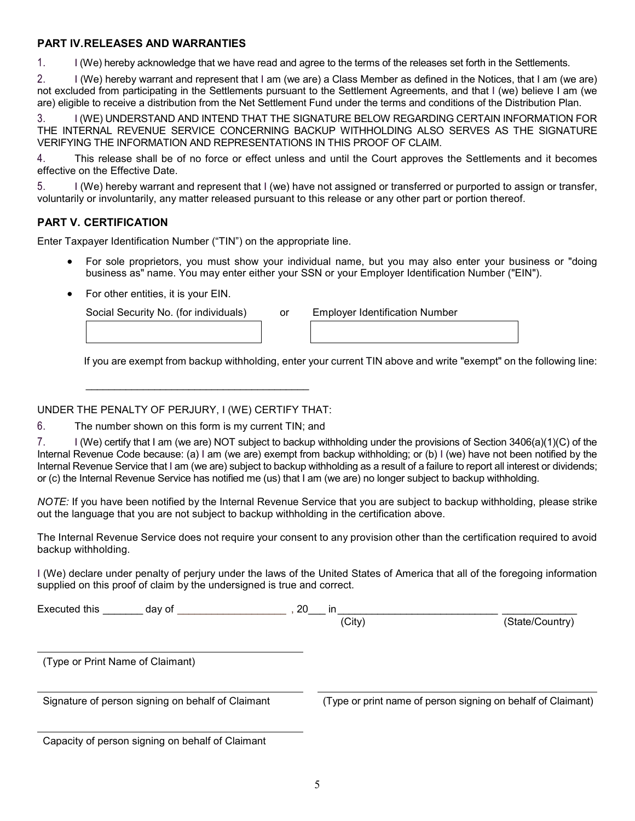### **PART IV. RELEASES AND WARRANTIES**

1. I (We) hereby acknowledge that we have read and agree to the terms of the releases set forth in the Settlements.

2. I (We) hereby warrant and represent that I am (we are) a Class Member as defined in the Notices, that I am (we are) not excluded from participating in the Settlements pursuant to the Settlement Agreements, and that I (we) believe I am (we are) eligible to receive a distribution from the Net Settlement Fund under the terms and conditions of the Distribution Plan.

3. I (WE) UNDERSTAND AND INTEND THAT THE SIGNATURE BELOW REGARDING CERTAIN INFORMATION FOR THE INTERNAL REVENUE SERVICE CONCERNING BACKUP WITHHOLDING ALSO SERVES AS THE SIGNATURE VERIFYING THE INFORMATION AND REPRESENTATIONS IN THIS PROOF OF CLAIM.

4. This release shall be of no force or effect unless and until the Court approves the Settlements and it becomes effective on the Effective Date.

5. I (We) hereby warrant and represent that I (we) have not assigned or transferred or purported to assign or transfer, voluntarily or involuntarily, any matter released pursuant to this release or any other part or portion thereof.

## **PART V. CERTIFICATION**

Enter Taxpayer Identification Number ("TIN") on the appropriate line.

- For sole proprietors, you must show your individual name, but you may also enter your business or "doing business as" name. You may enter either your SSN or your Employer Identification Number ("EIN").
- For other entities, it is your EIN.

Social Security No. (for individuals) or

| <b>Employer Identification Number</b> |
|---------------------------------------|
|                                       |

If you are exempt from backup withholding, enter your current TIN above and write "exempt" on the following line:

### UNDER THE PENALTY OF PERJURY, I (WE) CERTIFY THAT:

6. The number shown on this form is my current TIN; and

7. I (We) certify that I am (we are) NOT subject to backup withholding under the provisions of Section 3406(a)(1)(C) of the Internal Revenue Code because: (a) I am (we are) exempt from backup withholding; or (b) I (we) have not been notified by the Internal Revenue Service that I am (we are) subject to backup withholding as a result of a failure to report all interest or dividends; or (c) the Internal Revenue Service has notified me (us) that I am (we are) no longer subject to backup withholding.

*NOTE:* If you have been notified by the Internal Revenue Service that you are subject to backup withholding, please strike out the language that you are not subject to backup withholding in the certification above.

The Internal Revenue Service does not require your consent to any provision other than the certification required to avoid backup withholding.

I (We) declare under penalty of perjury under the laws of the United States of America that all of the foregoing information supplied on this proof of claim by the undersigned is true and correct.

| Executed this<br>day of                           | 20<br>in.<br>(City)                                          | (State/Country) |
|---------------------------------------------------|--------------------------------------------------------------|-----------------|
| (Type or Print Name of Claimant)                  |                                                              |                 |
| Signature of person signing on behalf of Claimant | (Type or print name of person signing on behalf of Claimant) |                 |
| Capacity of person signing on behalf of Claimant  |                                                              |                 |